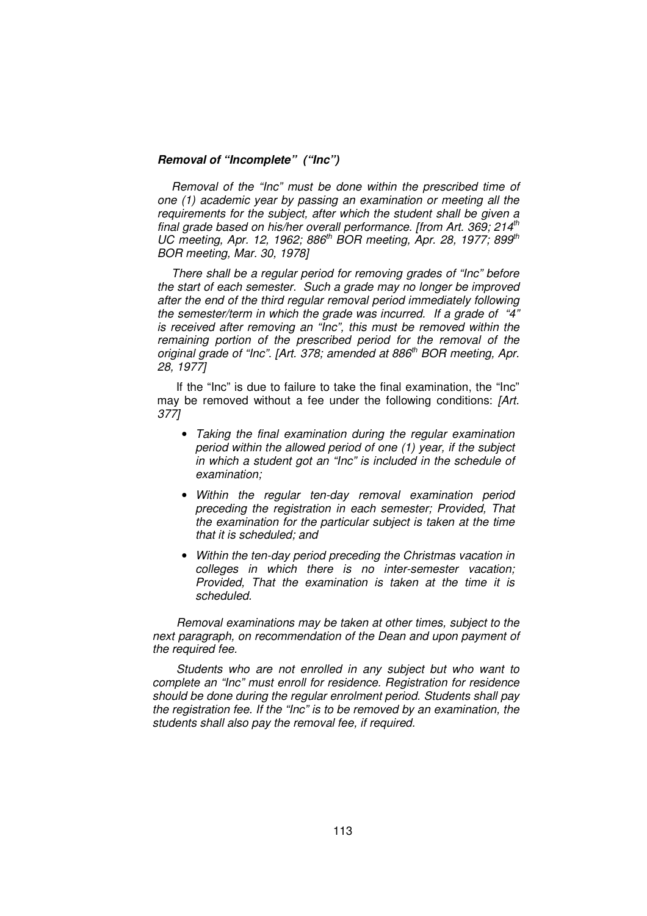## **Removal of "Incomplete" ("Inc")**

Removal of the "Inc" must be done within the prescribed time of one (1) academic year by passing an examination or meeting all the requirements for the subject, after which the student shall be given a final grade based on his/her overall performance. [from Art. 369; 214<sup>th</sup> UC meeting, Apr. 12, 1962; 886<sup>th</sup> BOR meeting, Apr. 28, 1977; 899<sup>th</sup> BOR meeting, Mar. 30, 1978]

There shall be a regular period for removing grades of "Inc" before the start of each semester. Such a grade may no longer be improved after the end of the third regular removal period immediately following the semester/term in which the grade was incurred. If a grade of "4" is received after removing an "Inc", this must be removed within the remaining portion of the prescribed period for the removal of the original grade of "Inc". [Art. 378; amended at 886<sup>th</sup> BOR meeting, Apr. 28, 1977]

If the "Inc" is due to failure to take the final examination, the "Inc" may be removed without a fee under the following conditions: [Art.] 377]

- Taking the final examination during the regular examination period within the allowed period of one (1) year, if the subject in which a student got an "Inc" is included in the schedule of examination;
- Within the regular ten-day removal examination period preceding the registration in each semester; Provided, That the examination for the particular subject is taken at the time that it is scheduled; and
- Within the ten-day period preceding the Christmas vacation in colleges in which there is no inter-semester vacation; Provided, That the examination is taken at the time it is scheduled.

Removal examinations may be taken at other times, subject to the next paragraph, on recommendation of the Dean and upon payment of the required fee.

Students who are not enrolled in any subject but who want to complete an "Inc" must enroll for residence. Registration for residence should be done during the regular enrolment period. Students shall pay the registration fee. If the "Inc" is to be removed by an examination, the students shall also pay the removal fee, if required.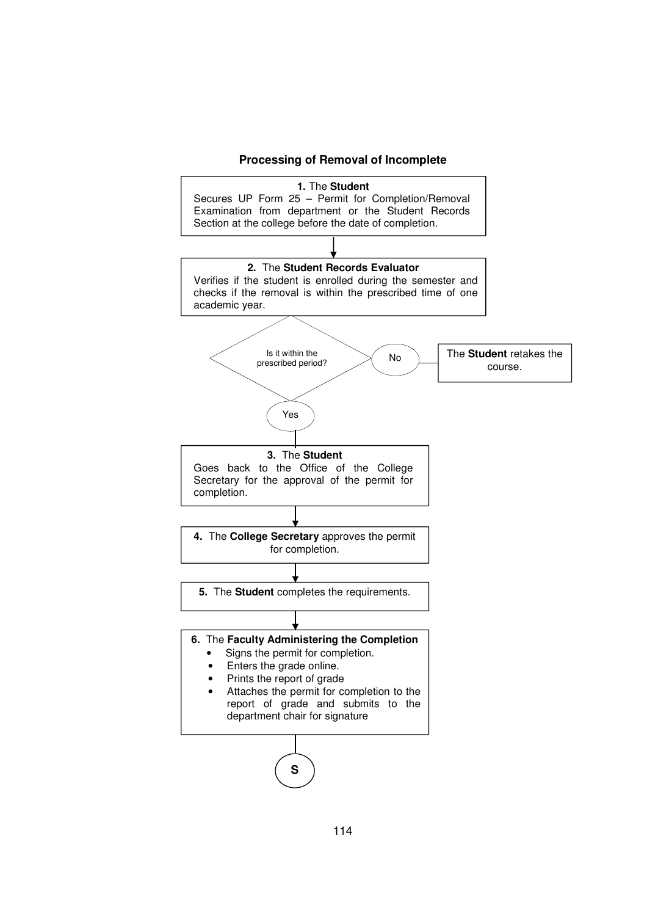

## 114